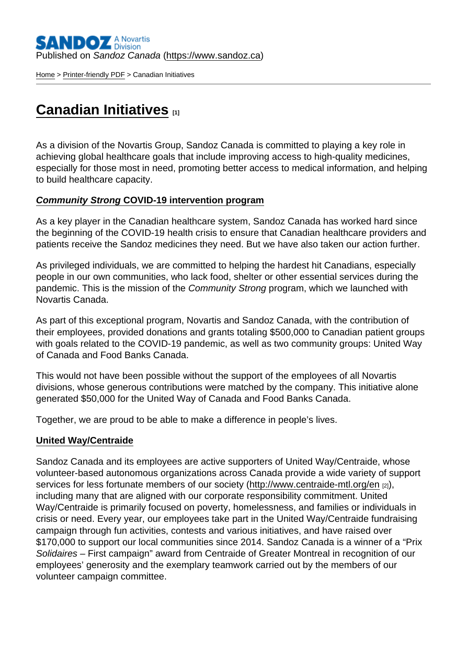[Home](https://www.sandoz.ca/en) > [Printer-friendly PDF](https://www.sandoz.ca/en/printpdf) > Canadian Initiatives

# [Canadian Initiatives](https://www.sandoz.ca/en/canadian-initiatives)  $_{11}$

As a division of the Novartis Group, Sandoz Canada is committed to playing a key role in achieving global healthcare goals that include improving access to high-quality medicines, especially for those most in need, promoting better access to medical information, and helping to build healthcare capacity.

#### Community Strong COVID-19 intervention program

As a key player in the Canadian healthcare system, Sandoz Canada has worked hard since the beginning of the COVID-19 health crisis to ensure that Canadian healthcare providers and patients receive the Sandoz medicines they need. But we have also taken our action further.

As privileged individuals, we are committed to helping the hardest hit Canadians, especially people in our own communities, who lack food, shelter or other essential services during the pandemic. This is the mission of the Community Strong program, which we launched with Novartis Canada.

As part of this exceptional program, Novartis and Sandoz Canada, with the contribution of their employees, provided donations and grants totaling \$500,000 to Canadian patient groups with goals related to the COVID-19 pandemic, as well as two community groups: United Way of Canada and Food Banks Canada.

This would not have been possible without the support of the employees of all Novartis divisions, whose generous contributions were matched by the company. This initiative alone generated \$50,000 for the United Way of Canada and Food Banks Canada.

Together, we are proud to be able to make a difference in people's lives.

#### United Way/Centraide

Sandoz Canada and its employees are active supporters of United Way/Centraide, whose volunteer-based autonomous organizations across Canada provide a wide variety of support services for less fortunate members of our society [\(http://www.centraide-mtl.org/en](http://www.centraide-mtl.org/en/) [2]), including many that are aligned with our corporate responsibility commitment. United Way/Centraide is primarily focused on poverty, homelessness, and families or individuals in crisis or need. Every year, our employees take part in the United Way/Centraide fundraising campaign through fun activities, contests and various initiatives, and have raised over \$170,000 to support our local communities since 2014. Sandoz Canada is a winner of a "Prix Solidaires – First campaign" award from Centraide of Greater Montreal in recognition of our employees' generosity and the exemplary teamwork carried out by the members of our volunteer campaign committee.